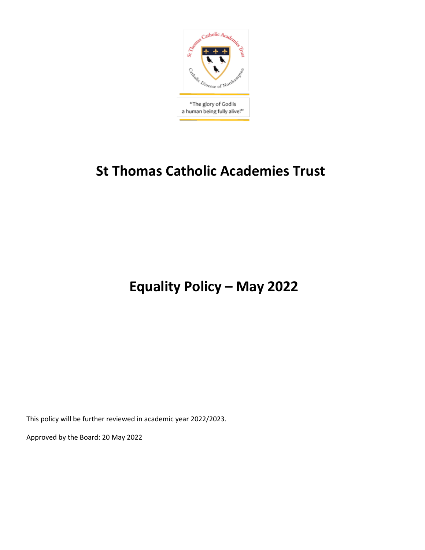

# **St Thomas Catholic Academies Trust**

**Equality Policy – May 2022**

This policy will be further reviewed in academic year 2022/2023.

Approved by the Board: 20 May 2022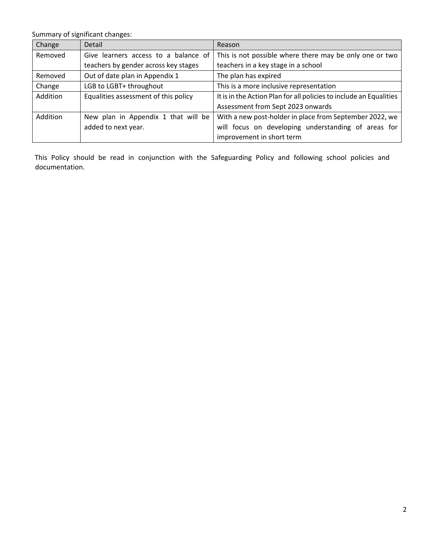Summary of significant changes:

| Change   | Detail                               | Reason                                                             |  |  |
|----------|--------------------------------------|--------------------------------------------------------------------|--|--|
| Removed  | Give learners access to a balance of | This is not possible where there may be only one or two            |  |  |
|          | teachers by gender across key stages | teachers in a key stage in a school                                |  |  |
| Removed  | Out of date plan in Appendix 1       | The plan has expired                                               |  |  |
| Change   | LGB to LGBT+ throughout              | This is a more inclusive representation                            |  |  |
| Addition | Equalities assessment of this policy | It is in the Action Plan for all policies to include an Equalities |  |  |
|          |                                      | Assessment from Sept 2023 onwards                                  |  |  |
| Addition | New plan in Appendix 1 that will be  | With a new post-holder in place from September 2022, we            |  |  |
|          | added to next year.                  | will focus on developing understanding of areas for                |  |  |
|          |                                      | improvement in short term                                          |  |  |

This Policy should be read in conjunction with the Safeguarding Policy and following school policies and documentation.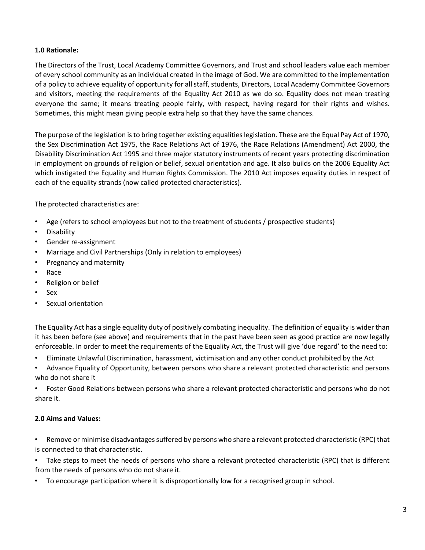## **1.0 Rationale:**

The Directors of the Trust, Local Academy Committee Governors, and Trust and school leaders value each member of every school community as an individual created in the image of God. We are committed to the implementation of a policy to achieve equality of opportunity for all staff, students, Directors, Local Academy Committee Governors and visitors, meeting the requirements of the Equality Act 2010 as we do so. Equality does not mean treating everyone the same; it means treating people fairly, with respect, having regard for their rights and wishes. Sometimes, this might mean giving people extra help so that they have the same chances.

The purpose of the legislation is to bring together existing equalities legislation. These are the Equal Pay Act of 1970, the Sex Discrimination Act 1975, the Race Relations Act of 1976, the Race Relations (Amendment) Act 2000, the Disability Discrimination Act 1995 and three major statutory instruments of recent years protecting discrimination in employment on grounds of religion or belief, sexual orientation and age. It also builds on the 2006 Equality Act which instigated the Equality and Human Rights Commission. The 2010 Act imposes equality duties in respect of each of the equality strands (now called protected characteristics).

The protected characteristics are:

- Age (refers to school employees but not to the treatment of students / prospective students)
- Disability
- Gender re-assignment
- Marriage and Civil Partnerships (Only in relation to employees)
- Pregnancy and maternity
- Race
- Religion or belief
- Sex
- Sexual orientation

The Equality Act has a single equality duty of positively combating inequality. The definition of equality is wider than it has been before (see above) and requirements that in the past have been seen as good practice are now legally enforceable. In order to meet the requirements of the Equality Act, the Trust will give 'due regard' to the need to:

- Eliminate Unlawful Discrimination, harassment, victimisation and any other conduct prohibited by the Act
- Advance Equality of Opportunity, between persons who share a relevant protected characteristic and persons who do not share it

• Foster Good Relations between persons who share a relevant protected characteristic and persons who do not share it.

#### **2.0 Aims and Values:**

• Remove or minimise disadvantages suffered by persons who share a relevant protected characteristic (RPC) that is connected to that characteristic.

• Take steps to meet the needs of persons who share a relevant protected characteristic (RPC) that is different from the needs of persons who do not share it.

• To encourage participation where it is disproportionally low for a recognised group in school.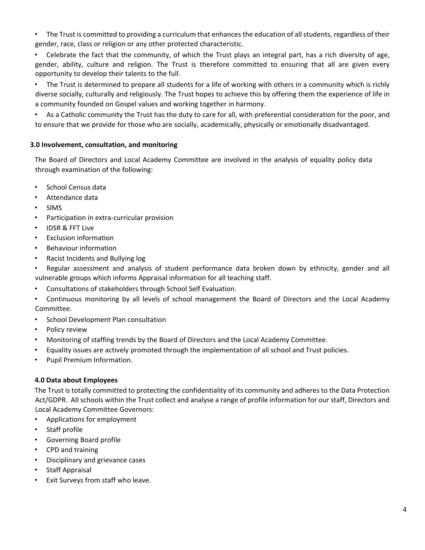• The Trust is committed to providing a curriculum that enhances the education of all students, regardless of their gender, race, class or religion or any other protected characteristic.

• Celebrate the fact that the community, of which the Trust plays an integral part, has a rich diversity of age, gender, ability, culture and religion. The Trust is therefore committed to ensuring that all are given every opportunity to develop their talents to the full.

• The Trust is determined to prepare all students for a life of working with others in a community which is richly diverse socially, culturally and religiously. The Trust hopes to achieve this by offering them the experience of life in a community founded on Gospel values and working together in harmony.

• As a Catholic community the Trust has the duty to care for all, with preferential consideration for the poor, and to ensure that we provide for those who are socially, academically, physically or emotionally disadvantaged.

## **3.0 Involvement, consultation, and monitoring**

The Board of Directors and Local Academy Committee are involved in the analysis of equality policy data through examination of the following:

- School Census data
- Attendance data
- SIMS
- Participation in extra-curricular provision
- IDSR & FFT Live
- Exclusion information
- Behaviour information
- Racist Incidents and Bullying log

• Regular assessment and analysis of student performance data broken down by ethnicity, gender and all vulnerable groups which informs Appraisal information for all teaching staff.

- Consultations of stakeholders through School Self Evaluation.
- Continuous monitoring by all levels of school management the Board of Directors and the Local Academy Committee.
- School Development Plan consultation
- Policy review
- Monitoring of staffing trends by the Board of Directors and the Local Academy Committee.
- Equality issues are actively promoted through the implementation of all school and Trust policies.
- Pupil Premium Information.

## **4.0 Data about Employees**

The Trust is totally committed to protecting the confidentiality of its community and adheres to the Data Protection Act/GDPR. All schools within the Trust collect and analyse a range of profile information for our staff, Directors and Local Academy Committee Governors:

- Applications for employment
- Staff profile
- Governing Board profile
- CPD and training
- Disciplinary and grievance cases
- Staff Appraisal
- Exit Surveys from staff who leave.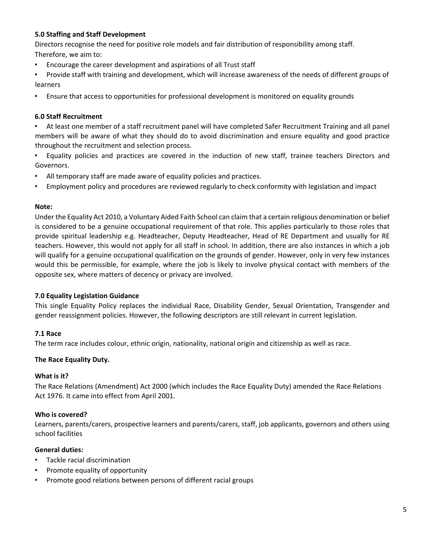## **5.0 Staffing and Staff Development**

Directors recognise the need for positive role models and fair distribution of responsibility among staff. Therefore, we aim to:

- Encourage the career development and aspirations of all Trust staff
- Provide staff with training and development, which will increase awareness of the needs of different groups of learners
- Ensure that access to opportunities for professional development is monitored on equality grounds

## **6.0 Staff Recruitment**

• At least one member of a staff recruitment panel will have completed Safer Recruitment Training and all panel members will be aware of what they should do to avoid discrimination and ensure equality and good practice throughout the recruitment and selection process.

- Equality policies and practices are covered in the induction of new staff, trainee teachers Directors and Governors.
- All temporary staff are made aware of equality policies and practices.
- Employment policy and procedures are reviewed regularly to check conformity with legislation and impact

#### **Note:**

Under the Equality Act 2010, a Voluntary Aided Faith School can claim that a certain religious denomination or belief is considered to be a genuine occupational requirement of that role. This applies particularly to those roles that provide spiritual leadership e.g. Headteacher, Deputy Headteacher, Head of RE Department and usually for RE teachers. However, this would not apply for all staff in school. In addition, there are also instances in which a job will qualify for a genuine occupational qualification on the grounds of gender. However, only in very few instances would this be permissible, for example, where the job is likely to involve physical contact with members of the opposite sex, where matters of decency or privacy are involved.

#### **7.0 Equality Legislation Guidance**

This single Equality Policy replaces the individual Race, Disability Gender, Sexual Orientation, Transgender and gender reassignment policies. However, the following descriptors are still relevant in current legislation.

#### **7.1 Race**

The term race includes colour, ethnic origin, nationality, national origin and citizenship as well as race.

#### **The Race Equality Duty.**

#### **What is it?**

The Race Relations (Amendment) Act 2000 (which includes the Race Equality Duty) amended the Race Relations Act 1976. It came into effect from April 2001.

#### **Who is covered?**

Learners, parents/carers, prospective learners and parents/carers, staff, job applicants, governors and others using school facilities

#### **General duties:**

- Tackle racial discrimination
- Promote equality of opportunity
- Promote good relations between persons of different racial groups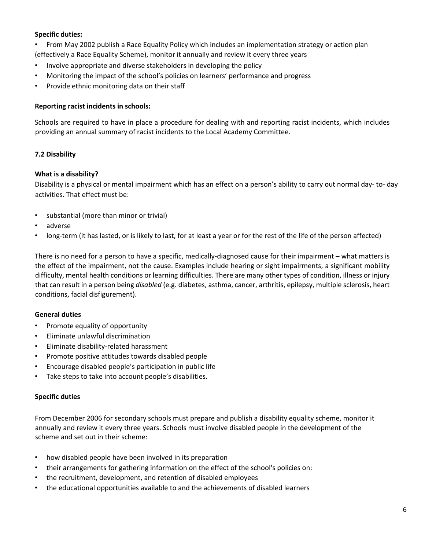## **Specific duties:**

- From May 2002 publish a Race Equality Policy which includes an implementation strategy or action plan
- (effectively a Race Equality Scheme), monitor it annually and review it every three years
- Involve appropriate and diverse stakeholders in developing the policy
- Monitoring the impact of the school's policies on learners' performance and progress
- Provide ethnic monitoring data on their staff

## **Reporting racist incidents in schools:**

Schools are required to have in place a procedure for dealing with and reporting racist incidents, which includes providing an annual summary of racist incidents to the Local Academy Committee.

## **7.2 Disability**

## **What is a disability?**

Disability is a physical or mental impairment which has an effect on a person's ability to carry out normal day- to- day activities. That effect must be:

- substantial (more than minor or trivial)
- adverse
- long-term (it has lasted, or is likely to last, for at least a year or for the rest of the life of the person affected)

There is no need for a person to have a specific, medically-diagnosed cause for their impairment – what matters is the effect of the impairment, not the cause. Examples include hearing or sight impairments, a significant mobility difficulty, mental health conditions or learning difficulties. There are many other types of condition, illness or injury that can result in a person being *disabled* (e.g. diabetes, asthma, cancer, arthritis, epilepsy, multiple sclerosis, heart conditions, facial disfigurement).

## **General duties**

- Promote equality of opportunity
- Eliminate unlawful discrimination
- Eliminate disability-related harassment
- Promote positive attitudes towards disabled people
- Encourage disabled people's participation in public life
- Take steps to take into account people's disabilities.

#### **Specific duties**

From December 2006 for secondary schools must prepare and publish a disability equality scheme, monitor it annually and review it every three years. Schools must involve disabled people in the development of the scheme and set out in their scheme:

- how disabled people have been involved in its preparation
- their arrangements for gathering information on the effect of the school's policies on:
- the recruitment, development, and retention of disabled employees
- the educational opportunities available to and the achievements of disabled learners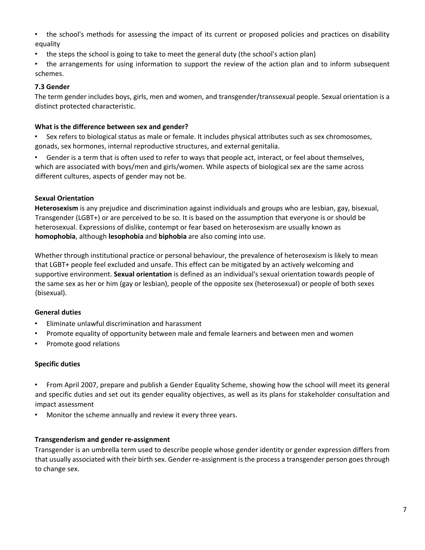- the school's methods for assessing the impact of its current or proposed policies and practices on disability equality
- the steps the school is going to take to meet the general duty (the school's action plan)
- the arrangements for using information to support the review of the action plan and to inform subsequent schemes.

## **7.3 Gender**

The term gender includes boys, girls, men and women, and transgender/transsexual people. Sexual orientation is a distinct protected characteristic.

#### **What is the difference between sex and gender?**

• Sex refers to biological status as male or female. It includes physical attributes such as sex chromosomes, gonads, sex hormones, internal reproductive structures, and external genitalia.

• Gender is a term that is often used to refer to ways that people act, interact, or feel about themselves, which are associated with boys/men and girls/women. While aspects of biological sex are the same across different cultures, aspects of gender may not be.

## **Sexual Orientation**

**Heterosexism** is any prejudice and discrimination against individuals and groups who are lesbian, gay, bisexual, Transgender (LGBT+) or are perceived to be so. It is based on the assumption that everyone is or should be heterosexual. Expressions of dislike, contempt or fear based on heterosexism are usually known as **homophobia**, although **lesophobia** and **biphobia** are also coming into use.

Whether through institutional practice or personal behaviour, the prevalence of heterosexism is likely to mean that LGBT+ people feel excluded and unsafe. This effect can be mitigated by an actively welcoming and supportive environment. **Sexual orientation** is defined as an individual's sexual orientation towards people of the same sex as her or him (gay or lesbian), people of the opposite sex (heterosexual) or people of both sexes (bisexual).

## **General duties**

- Eliminate unlawful discrimination and harassment
- Promote equality of opportunity between male and female learners and between men and women
- Promote good relations

## **Specific duties**

• From April 2007, prepare and publish a Gender Equality Scheme, showing how the school will meet its general and specific duties and set out its gender equality objectives, as well as its plans for stakeholder consultation and impact assessment

Monitor the scheme annually and review it every three years.

#### **Transgenderism and gender re-assignment**

Transgender is an umbrella term used to describe people whose gender identity or gender expression differs from that usually associated with their birth sex. Gender re-assignment is the process a transgender person goes through to change sex.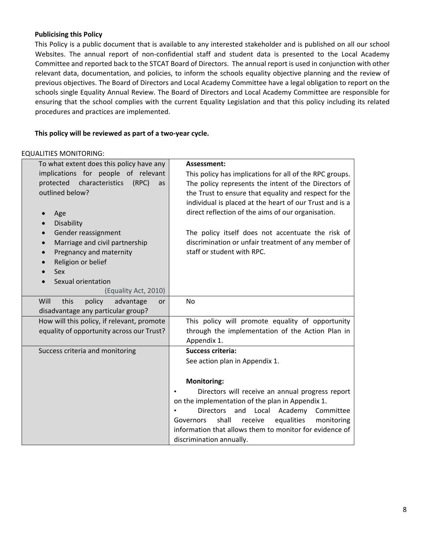#### **Publicising this Policy**

This Policy is a public document that is available to any interested stakeholder and is published on all our school Websites. The annual report of non-confidential staff and student data is presented to the Local Academy Committee and reported back to the STCAT Board of Directors. The annual report is used in conjunction with other relevant data, documentation, and policies, to inform the schools equality objective planning and the review of previous objectives. The Board of Directors and Local Academy Committee have a legal obligation to report on the schools single Equality Annual Review. The Board of Directors and Local Academy Committee are responsible for ensuring that the school complies with the current Equality Legislation and that this policy including its related procedures and practices are implemented.

## **This policy will be reviewed as part of a two-year cycle.**

#### EQUALITIES MONITORING:

| To what extent does this policy have any                                           | Assessment:                                                                                                     |  |  |  |
|------------------------------------------------------------------------------------|-----------------------------------------------------------------------------------------------------------------|--|--|--|
| implications for people of relevant<br>characteristics<br>protected<br>(RPC)<br>as | This policy has implications for all of the RPC groups.<br>The policy represents the intent of the Directors of |  |  |  |
| outlined below?                                                                    | the Trust to ensure that equality and respect for the                                                           |  |  |  |
|                                                                                    | individual is placed at the heart of our Trust and is a                                                         |  |  |  |
| Age                                                                                | direct reflection of the aims of our organisation.                                                              |  |  |  |
| Disability                                                                         |                                                                                                                 |  |  |  |
| Gender reassignment                                                                | The policy itself does not accentuate the risk of                                                               |  |  |  |
| Marriage and civil partnership                                                     | discrimination or unfair treatment of any member of                                                             |  |  |  |
| Pregnancy and maternity                                                            | staff or student with RPC.                                                                                      |  |  |  |
| Religion or belief                                                                 |                                                                                                                 |  |  |  |
| <b>Sex</b>                                                                         |                                                                                                                 |  |  |  |
| Sexual orientation                                                                 |                                                                                                                 |  |  |  |
| (Equality Act, 2010)                                                               |                                                                                                                 |  |  |  |
| Will<br>policy<br>this<br>advantage<br><b>or</b>                                   | No.                                                                                                             |  |  |  |
| disadvantage any particular group?                                                 |                                                                                                                 |  |  |  |
| How will this policy, if relevant, promote                                         | This policy will promote equality of opportunity                                                                |  |  |  |
| equality of opportunity across our Trust?                                          | through the implementation of the Action Plan in                                                                |  |  |  |
|                                                                                    | Appendix 1.                                                                                                     |  |  |  |
| Success criteria and monitoring                                                    | <b>Success criteria:</b>                                                                                        |  |  |  |
|                                                                                    | See action plan in Appendix 1.                                                                                  |  |  |  |
|                                                                                    |                                                                                                                 |  |  |  |
|                                                                                    | <b>Monitoring:</b>                                                                                              |  |  |  |
|                                                                                    | Directors will receive an annual progress report<br>on the implementation of the plan in Appendix 1.            |  |  |  |
|                                                                                    | <b>Directors</b><br>and<br>Local Academy<br>Committee                                                           |  |  |  |
|                                                                                    | shall<br>equalities<br>monitoring<br>receive<br>Governors                                                       |  |  |  |
|                                                                                    | information that allows them to monitor for evidence of                                                         |  |  |  |
|                                                                                    | discrimination annually.                                                                                        |  |  |  |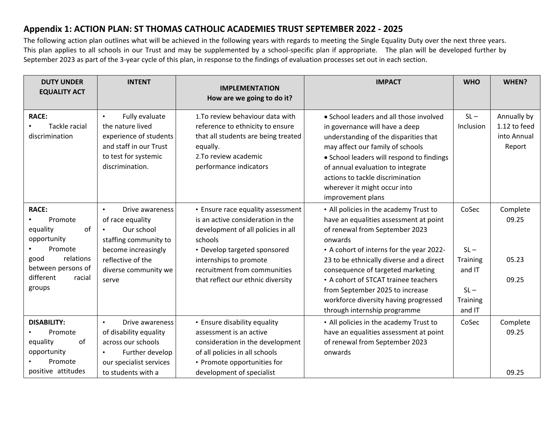## **Appendix 1: ACTION PLAN: ST THOMAS CATHOLIC ACADEMIES TRUST SEPTEMBER 2022 - 2025**

The following action plan outlines what will be achieved in the following years with regards to meeting the Single Equality Duty over the next three years. This plan applies to all schools in our Trust and may be supplemented by a school-specific plan if appropriate. The plan will be developed further by September 2023 as part of the 3-year cycle of this plan, in response to the findings of evaluation processes set out in each section.

| <b>DUTY UNDER</b><br><b>EQUALITY ACT</b>                                                                                              | <b>INTENT</b>                                                                                                                                                                     | <b>IMPLEMENTATION</b><br>How are we going to do it?                                                                                                                                                                                                    | <b>IMPACT</b>                                                                                                                                                                                                                                                                                                           | <b>WHO</b>                                   | WHEN?                                                |
|---------------------------------------------------------------------------------------------------------------------------------------|-----------------------------------------------------------------------------------------------------------------------------------------------------------------------------------|--------------------------------------------------------------------------------------------------------------------------------------------------------------------------------------------------------------------------------------------------------|-------------------------------------------------------------------------------------------------------------------------------------------------------------------------------------------------------------------------------------------------------------------------------------------------------------------------|----------------------------------------------|------------------------------------------------------|
| <b>RACE:</b><br>Tackle racial<br>discrimination                                                                                       | Fully evaluate<br>$\bullet$<br>the nature lived<br>experience of students<br>and staff in our Trust<br>to test for systemic<br>discrimination.                                    | 1. To review behaviour data with<br>reference to ethnicity to ensure<br>that all students are being treated<br>equally.<br>2. To review academic<br>performance indicators                                                                             | • School leaders and all those involved<br>in governance will have a deep<br>understanding of the disparities that<br>may affect our family of schools<br>• School leaders will respond to findings<br>of annual evaluation to integrate<br>actions to tackle discrimination<br>wherever it might occur into            | $SL -$<br>Inclusion                          | Annually by<br>1.12 to feed<br>into Annual<br>Report |
| <b>RACE:</b><br>Promote<br>equality<br>of<br>opportunity<br>Promote<br>relations<br>good<br>between persons of<br>different<br>racial | Drive awareness<br>$\bullet$<br>of race equality<br>Our school<br>$\bullet$<br>staffing community to<br>become increasingly<br>reflective of the<br>diverse community we<br>serve | • Ensure race equality assessment<br>is an active consideration in the<br>development of all policies in all<br>schools<br>• Develop targeted sponsored<br>internships to promote<br>recruitment from communities<br>that reflect our ethnic diversity | improvement plans<br>• All policies in the academy Trust to<br>have an equalities assessment at point<br>of renewal from September 2023<br>onwards<br>• A cohort of interns for the year 2022-<br>23 to be ethnically diverse and a direct<br>consequence of targeted marketing<br>• A cohort of STCAT trainee teachers | CoSec<br>$SL -$<br><b>Training</b><br>and IT | Complete<br>09.25<br>05.23<br>09.25                  |
| groups                                                                                                                                |                                                                                                                                                                                   |                                                                                                                                                                                                                                                        | from September 2025 to increase<br>workforce diversity having progressed<br>through internship programme                                                                                                                                                                                                                | $SL -$<br><b>Training</b><br>and IT          |                                                      |
| <b>DISABILITY:</b><br>Promote<br>of<br>equality<br>opportunity<br>Promote<br>positive attitudes                                       | Drive awareness<br>$\bullet$<br>of disability equality<br>across our schools<br>Further develop<br>$\bullet$<br>our specialist services<br>to students with a                     | • Ensure disability equality<br>assessment is an active<br>consideration in the development<br>of all policies in all schools<br>• Promote opportunities for<br>development of specialist                                                              | • All policies in the academy Trust to<br>have an equalities assessment at point<br>of renewal from September 2023<br>onwards                                                                                                                                                                                           | CoSec                                        | Complete<br>09.25<br>09.25                           |